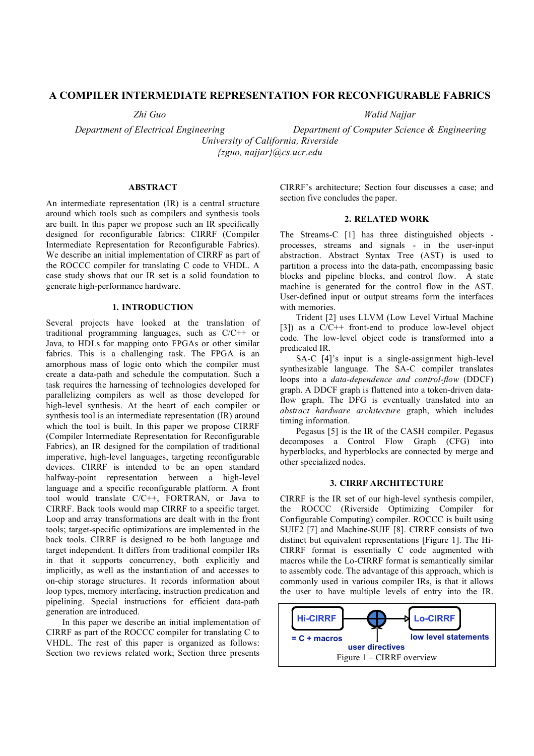# **A COMPILER INTERMEDIATE REPRESENTATION FOR RECONFIGURABLE FABRICS**

*Zhi Guo*

*Walid Najjar*

*Department of Electrical Engineering Department of Computer Science & Engineering University of California, Riverside {zguo, najjar}@cs.ucr.edu*

## **ABSTRACT**

An intermediate representation (IR) is a central structure around which tools such as compilers and synthesis tools are built. In this paper we propose such an IR specifically designed for reconfigurable fabrics: CIRRF (Compiler Intermediate Representation for Reconfigurable Fabrics). We describe an initial implementation of CIRRF as part of the ROCCC compiler for translating C code to VHDL. A case study shows that our IR set is a solid foundation to generate high-performance hardware.

#### **1. INTRODUCTION**

Several projects have looked at the translation of traditional programming languages, such as C/C++ or Java, to HDLs for mapping onto FPGAs or other similar fabrics. This is a challenging task. The FPGA is an amorphous mass of logic onto which the compiler must create a data-path and schedule the computation. Such a task requires the harnessing of technologies developed for parallelizing compilers as well as those developed for high-level synthesis. At the heart of each compiler or synthesis tool is an intermediate representation (IR) around which the tool is built. In this paper we propose CIRRF (Compiler Intermediate Representation for Reconfigurable Fabrics), an IR designed for the compilation of traditional imperative, high-level languages, targeting reconfigurable devices. CIRRF is intended to be an open standard halfway-point representation between a high-level language and a specific reconfigurable platform. A front tool would translate C/C++, FORTRAN, or Java to CIRRF. Back tools would map CIRRF to a specific target. Loop and array transformations are dealt with in the front tools; target-specific optimizations are implemented in the back tools. CIRRF is designed to be both language and target independent. It differs from traditional compiler IRs in that it supports concurrency, both explicitly and implicitly, as well as the instantiation of and accesses to on-chip storage structures. It records information about loop types, memory interfacing, instruction predication and pipelining. Special instructions for efficient data-path generation are introduced.

In this paper we describe an initial implementation of CIRRF as part of the ROCCC compiler for translating C to VHDL. The rest of this paper is organized as follows: Section two reviews related work; Section three presents CIRRF's architecture; Section four discusses a case; and section five concludes the paper.

## **2. RELATED WORK**

The Streams-C [1] has three distinguished objects processes, streams and signals - in the user-input abstraction. Abstract Syntax Tree (AST) is used to partition a process into the data-path, encompassing basic blocks and pipeline blocks, and control flow. A state machine is generated for the control flow in the AST. User-defined input or output streams form the interfaces with memories.

Trident [2] uses LLVM (Low Level Virtual Machine [3]) as a C/C++ front-end to produce low-level object code. The low-level object code is transformed into a predicated IR.

SA-C [4]'s input is a single-assignment high-level synthesizable language. The SA-C compiler translates loops into a *data-dependence and control-flow* (DDCF) graph. A DDCF graph is flattened into a token-driven dataflow graph. The DFG is eventually translated into an *abstract hardware architecture* graph, which includes timing information.

Pegasus [5] is the IR of the CASH compiler. Pegasus decomposes a Control Flow Graph (CFG) into hyperblocks, and hyperblocks are connected by merge and other specialized nodes.

### **3. CIRRF ARCHITECTURE**

CIRRF is the IR set of our high-level synthesis compiler, the ROCCC (Riverside Optimizing Compiler for Configurable Computing) compiler. ROCCC is built using SUIF2 [7] and Machine-SUIF [8]. CIRRF consists of two distinct but equivalent representations [Figure 1]. The Hi-CIRRF format is essentially C code augmented with macros while the Lo-CIRRF format is semantically similar to assembly code. The advantage of this approach, which is commonly used in various compiler IRs, is that it allows the user to have multiple levels of entry into the IR.

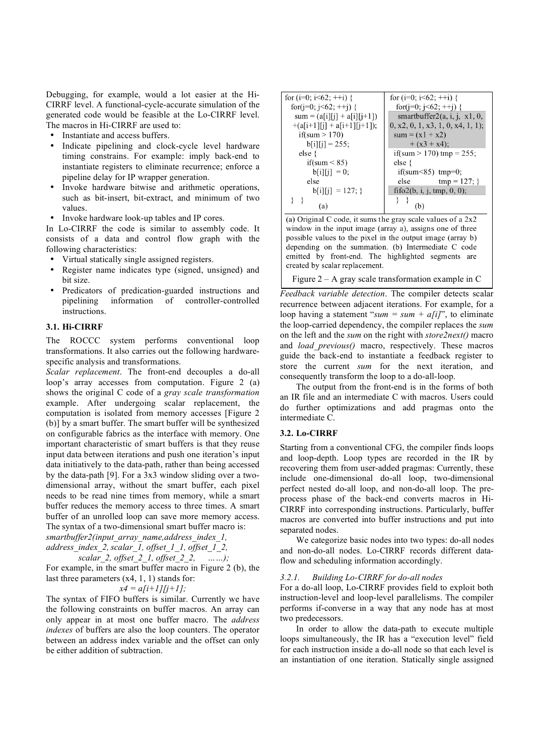Debugging, for example, would a lot easier at the Hi-CIRRF level. A functional-cycle-accurate simulation of the generated code would be feasible at the Lo-CIRRF level. The macros in Hi-CIRRF are used to:

- Instantiate and access buffers.
- Indicate pipelining and clock-cycle level hardware timing constrains. For example: imply back-end to instantiate registers to eliminate recurrence; enforce a pipeline delay for IP wrapper generation.
- Invoke hardware bitwise and arithmetic operations, such as bit-insert, bit-extract, and minimum of two values.
- Invoke hardware look-up tables and IP cores.

In Lo-CIRRF the code is similar to assembly code. It consists of a data and control flow graph with the following characteristics:

- Virtual statically single assigned registers.
- Register name indicates type (signed, unsigned) and bit size.
- Predicators of predication-guarded instructions and pipelining information of controller-controlled instructions.

### **3.1. Hi-CIRRF**

The ROCCC system performs conventional loop transformations. It also carries out the following hardwarespecific analysis and transformations.

*Scalar replacement*. The front-end decouples a do-all loop's array accesses from computation. Figure 2 (a) shows the original C code of a *gray scale transformation* example. After undergoing scalar replacement, the computation is isolated from memory accesses [Figure 2 (b)] by a smart buffer. The smart buffer will be synthesized on configurable fabrics as the interface with memory. One important characteristic of smart buffers is that they reuse input data between iterations and push one iteration's input data initiatively to the data-path, rather than being accessed by the data-path [9]. For a 3x3 window sliding over a twodimensional array, without the smart buffer, each pixel needs to be read nine times from memory, while a smart buffer reduces the memory access to three times. A smart buffer of an unrolled loop can save more memory access. The syntax of a two-dimensional smart buffer macro is:

*smartbuffer2(input\_array\_name,address\_index\_1, address\_index\_2,scalar\_1, offset\_1\_1, offset\_1\_2,*

*scalar\_2, offset\_2\_1, offset\_2\_2, ……);*

For example, in the smart buffer macro in Figure 2 (b), the last three parameters (x4, 1, 1) stands for:

 $x4 = a[i+1][j+1]$ ;

The syntax of FIFO buffers is similar. Currently we have the following constraints on buffer macros. An array can only appear in at most one buffer macro. The *address indexes* of buffers are also the loop counters. The operator between an address index variable and the offset can only be either addition of subtraction.

| for $(i=0; i<62; ++i)$ {        | for $(i=0; i<62; ++i)$ {          |
|---------------------------------|-----------------------------------|
| for( $i=0$ ; $i<62$ ; $++i$ ) { | for(j=0; j<62; ++j) {             |
| $sum = (a[i][j] + a[i][j+1])$   | smartbuffer2 $(a, i, j, x1, 0,$   |
| $+(a[i+1][j] + a[i+1][j+1]),$   | 0, x2, 0, 1, x3, 1, 0, x4, 1, 1); |
| if(sum $> 170$ )                | $sum = (x1 + x2)$                 |
| $b[i][i] = 255;$                | $+ (x3 + x4);$                    |
| else {                          | if(sum $> 170$ ) tmp = 255;       |
| if(sum $< 85$ )                 | else $\{$                         |
| $\text{b[i][i]} = 0;$           | if(sum $\leq$ 85) tmp=0;          |
| else                            | $tmp = 127;$<br>else              |
| $b[i][j] = 127;$                | fifo2(b, i, j, tmp, $0, 0$ );     |
| a.                              |                                   |

(a) Original C code, it sums the gray scale values of a  $2x2$ window in the input image (array a), assigns one of three possible values to the pixel in the output image (array b) depending on the summation. (b) Intermediate C code emitted by front-end. The highlighted segments are created by scalar replacement.

Figure  $2 - A$  gray scale transformation example in C

*Feedback variable detection*. The compiler detects scalar recurrence between adjacent iterations. For example, for a loop having a statement " $sum = sum + a[i]$ ", to eliminate the loop-carried dependency, the compiler replaces the *sum* on the left and the *sum* on the right with *store2next()* macro and *load\_previous()* macro, respectively. These macros guide the back-end to instantiate a feedback register to store the current *sum* for the next iteration, and consequently transform the loop to a do-all-loop.

The output from the front-end is in the forms of both an IR file and an intermediate C with macros. Users could do further optimizations and add pragmas onto the intermediate C.

### **3.2. Lo-CIRRF**

Starting from a conventional CFG, the compiler finds loops and loop-depth. Loop types are recorded in the IR by recovering them from user-added pragmas: Currently, these include one-dimensional do-all loop, two-dimensional perfect nested do-all loop, and non-do-all loop. The preprocess phase of the back-end converts macros in Hi-CIRRF into corresponding instructions. Particularly, buffer macros are converted into buffer instructions and put into separated nodes.

We categorize basic nodes into two types: do-all nodes and non-do-all nodes. Lo-CIRRF records different dataflow and scheduling information accordingly.

### *3.2.1. Building Lo-CIRRF for do-all nodes*

For a do-all loop, Lo-CIRRF provides field to exploit both instruction-level and loop-level parallelisms. The compiler performs if-converse in a way that any node has at most two predecessors.

In order to allow the data-path to execute multiple loops simultaneously, the IR has a "execution level" field for each instruction inside a do-all node so that each level is an instantiation of one iteration. Statically single assigned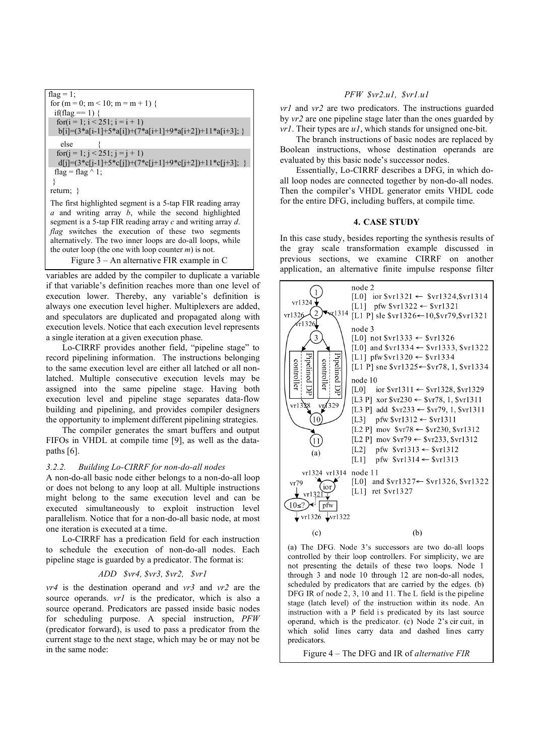| flag = 1;                                                                   |
|-----------------------------------------------------------------------------|
| for $(m = 0; m < 10; m = m + 1)$ {                                          |
| if(flag $== 1)$ {                                                           |
| for $(i = 1; i < 251; i = i + 1)$                                           |
| $b[i] = (3 * a[i-1] + 5 * a[i]) + (7 * a[i+1] + 9 * a[i+2]) + 11 * a[i+3];$ |
| else                                                                        |
| for( $j = 1$ ; $j < 251$ ; $j = j + 1$ )                                    |
| $d[j] = (3 * c[j-1] + 5 * c[j]) + (7 * c[j+1] + 9 * c[j+2]) + 11 * c[j+3];$ |
| flag = flag $\wedge$ 1;                                                     |
|                                                                             |
| return; $\}$                                                                |
| The first highlighted segment is a 5-tap FIR reading array                  |
| and writing array $b$ , while the second highlighted<br>a                   |
| segment is a 5-tap FIR reading array $c$ and writing array $d$ .            |
| <i>flag</i> switches the execution of these two segments                    |
| alternatively. The two inner loops are do-all loops, while                  |
| the outer loop (the one with loop counter $m$ ) is not.                     |

Figure 3 – An alternative FIR example in C

variables are added by the compiler to duplicate a variable if that variable's definition reaches more than one level of execution lower. Thereby, any variable's definition is always one execution level higher. Multiplexers are added, and speculators are duplicated and propagated along with execution levels. Notice that each execution level represents a single iteration at a given execution phase.

Lo-CIRRF provides another field, "pipeline stage" to record pipelining information. The instructions belonging to the same execution level are either all latched or all nonlatched. Multiple consecutive execution levels may be assigned into the same pipeline stage. Having both execution level and pipeline stage separates data-flow building and pipelining, and provides compiler designers the opportunity to implement different pipelining strategies.

The compiler generates the smart buffers and output FIFOs in VHDL at compile time [9], as well as the datapaths [6].

# *3.2.2. Building Lo-CIRRF for non-do-all nodes*

A non-do-all basic node either belongs to a non-do-all loop or does not belong to any loop at all. Multiple instructions might belong to the same execution level and can be executed simultaneously to exploit instruction level parallelism. Notice that for a non-do-all basic node, at most one iteration is executed at a time.

Lo-CIRRF has a predication field for each instruction to schedule the execution of non-do-all nodes. Each pipeline stage is guarded by a predicator. The format is:

### *ADD \$vr4, \$vr3, \$vr2, \$vr1*

*vr4* is the destination operand and *vr3* and *vr2* are the source operands. *vr1* is the predicator, which is also a source operand. Predicators are passed inside basic nodes for scheduling purpose. A special instruction, *PFW* (predicator forward), is used to pass a predicator from the current stage to the next stage, which may be or may not be in the same node:

# *PFW \$vr2.u1, \$vr1.u1*

*vr1* and *vr2* are two predicators. The instructions guarded by *vr2* are one pipeline stage later than the ones guarded by *vr1*. Their types are *u1*, which stands for unsigned one-bit.

The branch instructions of basic nodes are replaced by Boolean instructions, whose destination operands are evaluated by this basic node's successor nodes.

Essentially, Lo-CIRRF describes a DFG, in which doall loop nodes are connected together by non-do-all nodes. Then the compiler's VHDL generator emits VHDL code for the entire DFG, including buffers, at compile time.

### **4. CASE STUDY**

In this case study, besides reporting the synthesis results of the gray scale transformation example discussed in previous sections, we examine CIRRF on another application, an alternative finite impulse response filter



(a) The DFG. Node 3's successors are two do-all loops controlled by their loop controllers. For simplicity, we are not presenting the details of these two loops. Node 1 through 3 and node 10 through 12 are non-do-all nodes, scheduled by predicators that are carried by the edges. (b) DFG IR of node 2, 3, 10 and 11. The L field is the pipeline stage (latch level) of the instruction within its node. An instruction with a P field is predicated by its last source operand, which is the predicator. (c) Node 2's cir cuit, in which solid lines carry data and dashed lines carry predicators.

Figure 4 – The DFG and IR of *alternative FIR*